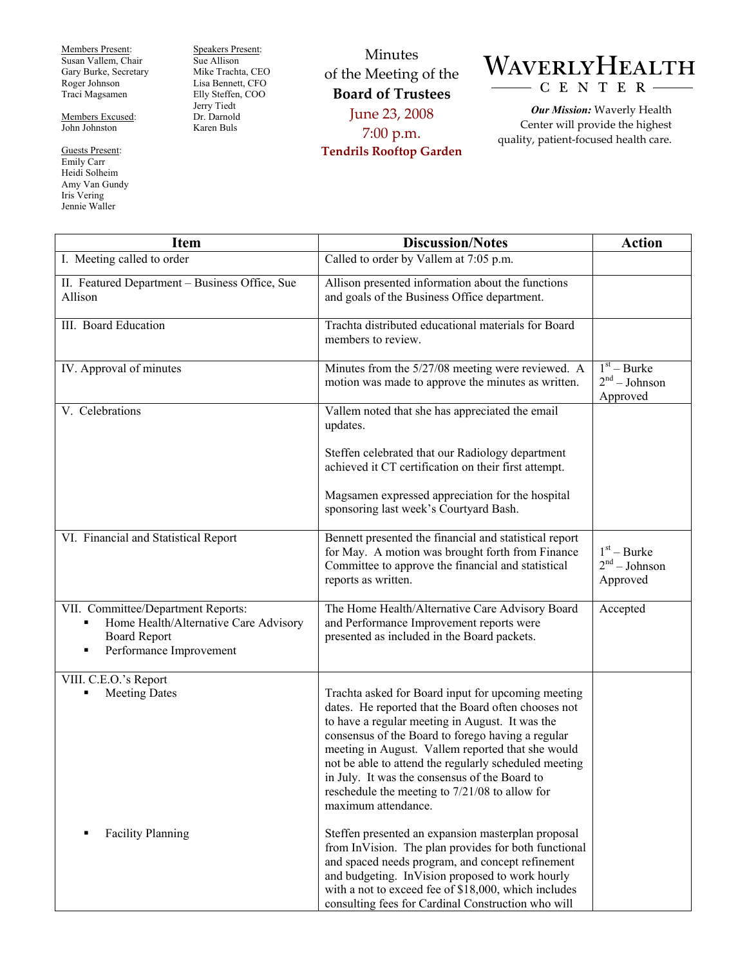Members Present: Susan Vallem, Chair Gary Burke, Secretary Roger Johnson Traci Magsamen

Members Excused: John Johnston

Guests Present: Emily Carr Heidi Solheim Amy Van Gundy Iris Vering Jennie Waller

Speakers Present: Sue Allison Mike Trachta, CEO Lisa Bennett, CFO Elly Steffen, COO Jerry Tiedt Dr. Darnold Karen Buls

Minutes of the Meeting of the **Board of Trustees**  June 23, 2008 7:00 p.m. **Tendrils Rooftop Garden** 



*Our Mission:* Waverly Health Center will provide the highest quality, patient-focused health care.

| <b>Item</b>                                                                                                                                          | <b>Discussion/Notes</b>                                                                                                                                                                                                                                                                                                                                                                                                                                   | <b>Action</b>                                |
|------------------------------------------------------------------------------------------------------------------------------------------------------|-----------------------------------------------------------------------------------------------------------------------------------------------------------------------------------------------------------------------------------------------------------------------------------------------------------------------------------------------------------------------------------------------------------------------------------------------------------|----------------------------------------------|
| I. Meeting called to order                                                                                                                           | Called to order by Vallem at 7:05 p.m.                                                                                                                                                                                                                                                                                                                                                                                                                    |                                              |
| II. Featured Department - Business Office, Sue<br>Allison                                                                                            | Allison presented information about the functions<br>and goals of the Business Office department.                                                                                                                                                                                                                                                                                                                                                         |                                              |
| III. Board Education                                                                                                                                 | Trachta distributed educational materials for Board<br>members to review.                                                                                                                                                                                                                                                                                                                                                                                 |                                              |
| IV. Approval of minutes                                                                                                                              | Minutes from the 5/27/08 meeting were reviewed. A<br>motion was made to approve the minutes as written.                                                                                                                                                                                                                                                                                                                                                   | $1st - Burke$<br>$2nd - Johnson$<br>Approved |
| V. Celebrations                                                                                                                                      | Vallem noted that she has appreciated the email<br>updates.                                                                                                                                                                                                                                                                                                                                                                                               |                                              |
|                                                                                                                                                      | Steffen celebrated that our Radiology department<br>achieved it CT certification on their first attempt.                                                                                                                                                                                                                                                                                                                                                  |                                              |
|                                                                                                                                                      | Magsamen expressed appreciation for the hospital<br>sponsoring last week's Courtyard Bash.                                                                                                                                                                                                                                                                                                                                                                |                                              |
| VI. Financial and Statistical Report                                                                                                                 | Bennett presented the financial and statistical report<br>for May. A motion was brought forth from Finance<br>Committee to approve the financial and statistical<br>reports as written.                                                                                                                                                                                                                                                                   | $1st - Burke$<br>$2nd - Johnson$<br>Approved |
| VII. Committee/Department Reports:<br>Home Health/Alternative Care Advisory<br>$\blacksquare$<br><b>Board Report</b><br>Performance Improvement<br>п | The Home Health/Alternative Care Advisory Board<br>and Performance Improvement reports were<br>presented as included in the Board packets.                                                                                                                                                                                                                                                                                                                | Accepted                                     |
| VIII. C.E.O.'s Report<br><b>Meeting Dates</b><br>٠                                                                                                   | Trachta asked for Board input for upcoming meeting<br>dates. He reported that the Board often chooses not<br>to have a regular meeting in August. It was the<br>consensus of the Board to forego having a regular<br>meeting in August. Vallem reported that she would<br>not be able to attend the regularly scheduled meeting<br>in July. It was the consensus of the Board to<br>reschedule the meeting to 7/21/08 to allow for<br>maximum attendance. |                                              |
| <b>Facility Planning</b>                                                                                                                             | Steffen presented an expansion masterplan proposal<br>from InVision. The plan provides for both functional<br>and spaced needs program, and concept refinement<br>and budgeting. InVision proposed to work hourly<br>with a not to exceed fee of \$18,000, which includes<br>consulting fees for Cardinal Construction who will                                                                                                                           |                                              |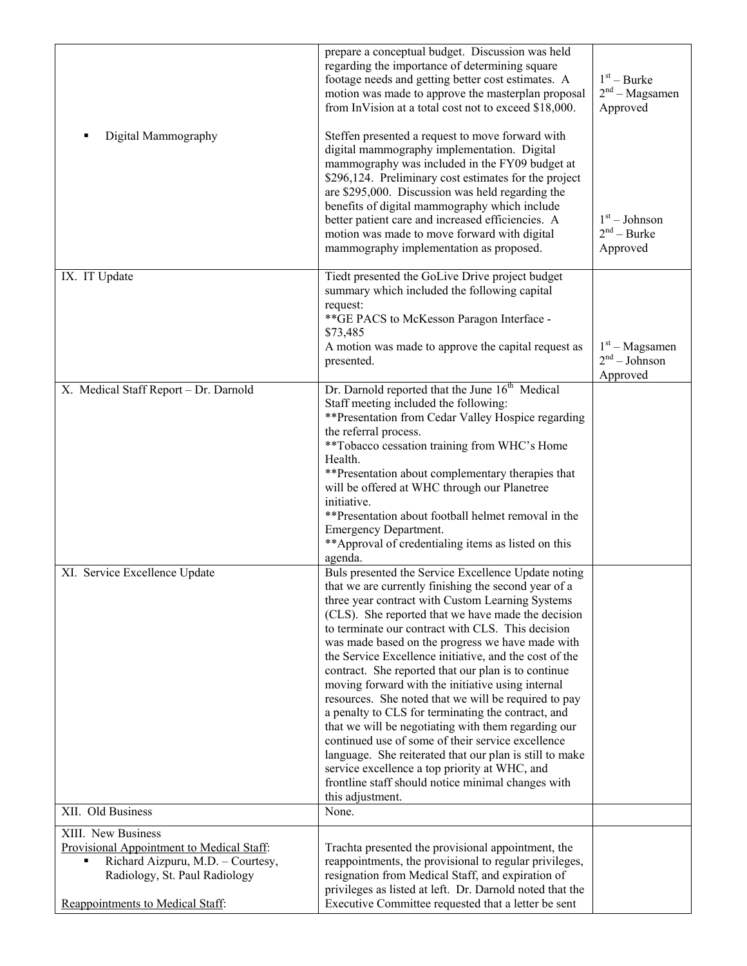| Digital Mammography                                                                                                                                                                         | prepare a conceptual budget. Discussion was held<br>regarding the importance of determining square<br>footage needs and getting better cost estimates. A<br>motion was made to approve the masterplan proposal<br>from InVision at a total cost not to exceed \$18,000.<br>Steffen presented a request to move forward with<br>digital mammography implementation. Digital<br>mammography was included in the FY09 budget at                                                                                                                                                                                                                                                                                                                                                                                                                                                                                         | $1st - Burke$<br>$2nd - Magsamen$<br>Approved |
|---------------------------------------------------------------------------------------------------------------------------------------------------------------------------------------------|----------------------------------------------------------------------------------------------------------------------------------------------------------------------------------------------------------------------------------------------------------------------------------------------------------------------------------------------------------------------------------------------------------------------------------------------------------------------------------------------------------------------------------------------------------------------------------------------------------------------------------------------------------------------------------------------------------------------------------------------------------------------------------------------------------------------------------------------------------------------------------------------------------------------|-----------------------------------------------|
|                                                                                                                                                                                             | \$296,124. Preliminary cost estimates for the project<br>are \$295,000. Discussion was held regarding the<br>benefits of digital mammography which include<br>better patient care and increased efficiencies. A<br>motion was made to move forward with digital<br>mammography implementation as proposed.                                                                                                                                                                                                                                                                                                                                                                                                                                                                                                                                                                                                           | $1st - Johnson$<br>$2nd - Burke$<br>Approved  |
| IX. IT Update                                                                                                                                                                               | Tiedt presented the GoLive Drive project budget<br>summary which included the following capital<br>request:<br>** GE PACS to McKesson Paragon Interface -<br>\$73,485<br>A motion was made to approve the capital request as                                                                                                                                                                                                                                                                                                                                                                                                                                                                                                                                                                                                                                                                                         | $1st - Magsamen$                              |
|                                                                                                                                                                                             | presented.                                                                                                                                                                                                                                                                                                                                                                                                                                                                                                                                                                                                                                                                                                                                                                                                                                                                                                           | $2nd - Johnson$<br>Approved                   |
| X. Medical Staff Report - Dr. Darnold                                                                                                                                                       | Dr. Darnold reported that the June 16 <sup>th</sup> Medical<br>Staff meeting included the following:<br>**Presentation from Cedar Valley Hospice regarding<br>the referral process.<br>**Tobacco cessation training from WHC's Home<br>Health.<br>**Presentation about complementary therapies that<br>will be offered at WHC through our Planetree<br>initiative.<br>**Presentation about football helmet removal in the<br><b>Emergency Department.</b><br>**Approval of credentialing items as listed on this<br>agenda.                                                                                                                                                                                                                                                                                                                                                                                          |                                               |
| XI. Service Excellence Update                                                                                                                                                               | Buls presented the Service Excellence Update noting<br>that we are currently finishing the second year of a<br>three year contract with Custom Learning Systems<br>(CLS). She reported that we have made the decision<br>to terminate our contract with CLS. This decision<br>was made based on the progress we have made with<br>the Service Excellence initiative, and the cost of the<br>contract. She reported that our plan is to continue<br>moving forward with the initiative using internal<br>resources. She noted that we will be required to pay<br>a penalty to CLS for terminating the contract, and<br>that we will be negotiating with them regarding our<br>continued use of some of their service excellence<br>language. She reiterated that our plan is still to make<br>service excellence a top priority at WHC, and<br>frontline staff should notice minimal changes with<br>this adjustment. |                                               |
| XII. Old Business                                                                                                                                                                           | None.                                                                                                                                                                                                                                                                                                                                                                                                                                                                                                                                                                                                                                                                                                                                                                                                                                                                                                                |                                               |
| XIII. New Business<br>Provisional Appointment to Medical Staff:<br>Richard Aizpuru, M.D. - Courtesy,<br>$\blacksquare$<br>Radiology, St. Paul Radiology<br>Reappointments to Medical Staff: | Trachta presented the provisional appointment, the<br>reappointments, the provisional to regular privileges,<br>resignation from Medical Staff, and expiration of<br>privileges as listed at left. Dr. Darnold noted that the<br>Executive Committee requested that a letter be sent                                                                                                                                                                                                                                                                                                                                                                                                                                                                                                                                                                                                                                 |                                               |
|                                                                                                                                                                                             |                                                                                                                                                                                                                                                                                                                                                                                                                                                                                                                                                                                                                                                                                                                                                                                                                                                                                                                      |                                               |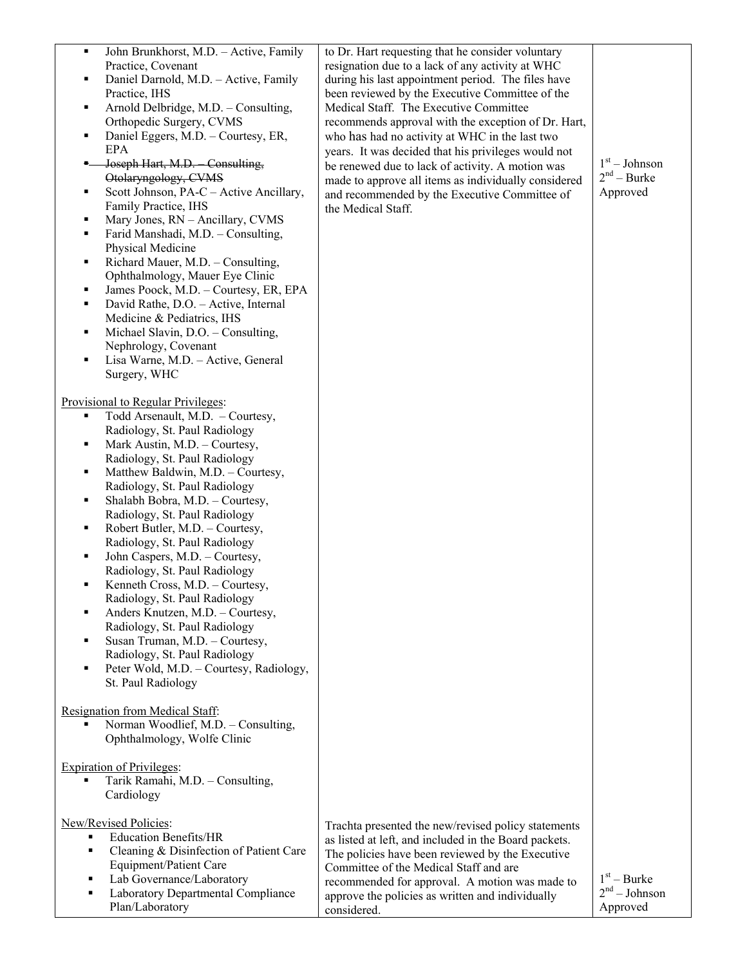| ٠<br>٠<br>٠<br>Е<br>٠<br>٠<br>٠<br>٠<br>п<br>٠<br>٠ | John Brunkhorst, M.D. - Active, Family<br>Practice, Covenant<br>Daniel Darnold, M.D. - Active, Family<br>Practice, IHS<br>Arnold Delbridge, M.D. - Consulting,<br>Orthopedic Surgery, CVMS<br>Daniel Eggers, M.D. - Courtesy, ER,<br>EPA<br>Joseph Hart, M.D. Consulting,<br>Otolaryngology, CVMS<br>Scott Johnson, PA-C - Active Ancillary,<br>Family Practice, IHS<br>Mary Jones, RN - Ancillary, CVMS<br>Farid Manshadi, M.D. - Consulting,<br>Physical Medicine<br>Richard Mauer, M.D. - Consulting,<br>Ophthalmology, Mauer Eye Clinic<br>James Poock, M.D. - Courtesy, ER, EPA<br>David Rathe, D.O. - Active, Internal<br>Medicine & Pediatrics, IHS<br>Michael Slavin, D.O. - Consulting,<br>Nephrology, Covenant<br>Lisa Warne, M.D. - Active, General<br>Surgery, WHC | to Dr. Hart requesting that he consider voluntary<br>resignation due to a lack of any activity at WHC<br>during his last appointment period. The files have<br>been reviewed by the Executive Committee of the<br>Medical Staff. The Executive Committee<br>recommends approval with the exception of Dr. Hart,<br>who has had no activity at WHC in the last two<br>years. It was decided that his privileges would not<br>be renewed due to lack of activity. A motion was<br>made to approve all items as individually considered<br>and recommended by the Executive Committee of<br>the Medical Staff. | $1st - Johnson$<br>$2nd - Burke$<br>Approved |
|-----------------------------------------------------|--------------------------------------------------------------------------------------------------------------------------------------------------------------------------------------------------------------------------------------------------------------------------------------------------------------------------------------------------------------------------------------------------------------------------------------------------------------------------------------------------------------------------------------------------------------------------------------------------------------------------------------------------------------------------------------------------------------------------------------------------------------------------------|-------------------------------------------------------------------------------------------------------------------------------------------------------------------------------------------------------------------------------------------------------------------------------------------------------------------------------------------------------------------------------------------------------------------------------------------------------------------------------------------------------------------------------------------------------------------------------------------------------------|----------------------------------------------|
| п<br>٠<br>٠<br>٠<br>٠<br>٠<br>٠                     | Provisional to Regular Privileges:<br>Todd Arsenault, M.D. - Courtesy,<br>Radiology, St. Paul Radiology<br>Mark Austin, M.D. - Courtesy,<br>Radiology, St. Paul Radiology<br>Matthew Baldwin, M.D. - Courtesy,<br>Radiology, St. Paul Radiology<br>Shalabh Bobra, M.D. - Courtesy,<br>Radiology, St. Paul Radiology<br>Robert Butler, M.D. - Courtesy,<br>Radiology, St. Paul Radiology<br>John Caspers, M.D. - Courtesy,<br>Radiology, St. Paul Radiology<br>Kenneth Cross, M.D. - Courtesy,<br>Radiology, St. Paul Radiology<br>Anders Knutzen, M.D. - Courtesy,<br>Radiology, St. Paul Radiology<br>Susan Truman, M.D. - Courtesy,<br>Radiology, St. Paul Radiology<br>Peter Wold, M.D. - Courtesy, Radiology,<br>St. Paul Radiology                                        |                                                                                                                                                                                                                                                                                                                                                                                                                                                                                                                                                                                                             |                                              |
|                                                     | Resignation from Medical Staff:<br>Norman Woodlief, M.D. - Consulting,<br>Ophthalmology, Wolfe Clinic                                                                                                                                                                                                                                                                                                                                                                                                                                                                                                                                                                                                                                                                          |                                                                                                                                                                                                                                                                                                                                                                                                                                                                                                                                                                                                             |                                              |
|                                                     | <b>Expiration of Privileges:</b><br>Tarik Ramahi, M.D. - Consulting,<br>Cardiology                                                                                                                                                                                                                                                                                                                                                                                                                                                                                                                                                                                                                                                                                             |                                                                                                                                                                                                                                                                                                                                                                                                                                                                                                                                                                                                             |                                              |
| ٠<br>٠<br>٠                                         | New/Revised Policies:<br><b>Education Benefits/HR</b><br>Cleaning & Disinfection of Patient Care<br>Equipment/Patient Care<br>Lab Governance/Laboratory<br>Laboratory Departmental Compliance<br>Plan/Laboratory                                                                                                                                                                                                                                                                                                                                                                                                                                                                                                                                                               | Trachta presented the new/revised policy statements<br>as listed at left, and included in the Board packets.<br>The policies have been reviewed by the Executive<br>Committee of the Medical Staff and are<br>recommended for approval. A motion was made to<br>approve the policies as written and individually<br>considered.                                                                                                                                                                                                                                                                             | $1st - Burke$<br>$2nd - Johnson$<br>Approved |